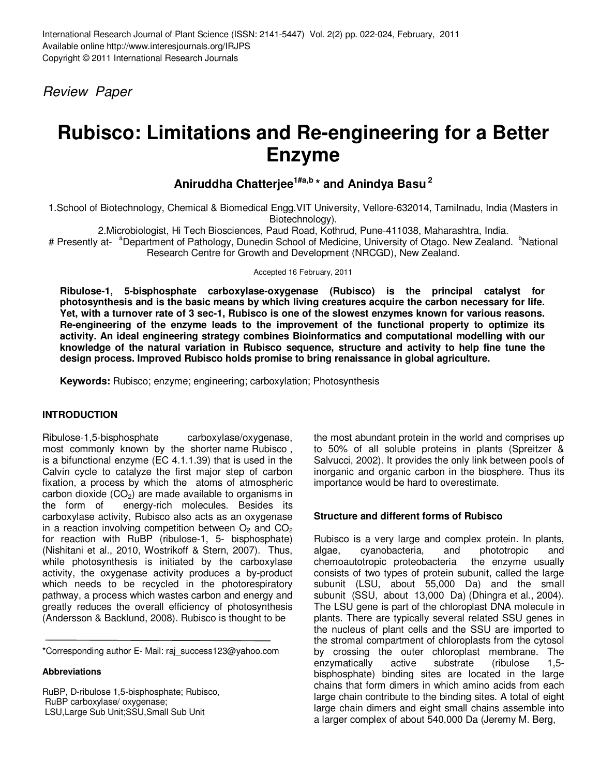Review Paper

# **Rubisco: Limitations and Re-engineering for a Better Enzyme**

# **Aniruddha Chatterjee1#a,b \* and Anindya Basu<sup>2</sup>**

1.School of Biotechnology, Chemical & Biomedical Engg.VIT University, Vellore-632014, Tamilnadu, India (Masters in Biotechnology).

2.Microbiologist, Hi Tech Biosciences, Paud Road, Kothrud, Pune-411038, Maharashtra, India.

# Presently at- <sup>a</sup>Department of Pathology, Dunedin School of Medicine, University of Otago. New Zealand. <sup>b</sup>National Research Centre for Growth and Development (NRCGD), New Zealand.

Accepted 16 February, 2011

**Ribulose-1, 5-bisphosphate carboxylase-oxygenase (Rubisco) is the principal catalyst for photosynthesis and is the basic means by which living creatures acquire the carbon necessary for life. Yet, with a turnover rate of 3 sec-1, Rubisco is one of the slowest enzymes known for various reasons. Re-engineering of the enzyme leads to the improvement of the functional property to optimize its activity. An ideal engineering strategy combines Bioinformatics and computational modelling with our knowledge of the natural variation in Rubisco sequence, structure and activity to help fine tune the design process. Improved Rubisco holds promise to bring renaissance in global agriculture.** 

**Keywords:** Rubisco; enzyme; engineering; carboxylation; Photosynthesis

# **INTRODUCTION**

Ribulose-1,5-bisphosphate carboxylase/oxygenase, most commonly known by the shorter name Rubisco , is a bifunctional enzyme (EC 4.1.1.39) that is used in the Calvin cycle to catalyze the first major step of carbon fixation, a process by which the atoms of atmospheric carbon dioxide  $(CO_2)$  are made available to organisms in the form of energy-rich molecules. Besides its energy-rich molecules. Besides its carboxylase activity, Rubisco also acts as an oxygenase in a reaction involving competition between  $O<sub>2</sub>$  and  $CO<sub>2</sub>$ for reaction with RuBP (ribulose-1, 5- bisphosphate) (Nishitani et al., 2010, Wostrikoff & Stern, 2007). Thus, while photosynthesis is initiated by the carboxylase activity, the oxygenase activity produces a by-product which needs to be recycled in the photorespiratory pathway, a process which wastes carbon and energy and greatly reduces the overall efficiency of photosynthesis (Andersson & Backlund, 2008). Rubisco is thought to be

\*Corresponding author E- Mail: raj\_success123@yahoo.com

#### **Abbreviations**

RuBP, D-ribulose 1,5-bisphosphate; Rubisco, RuBP carboxylase/ oxygenase; LSU,Large Sub Unit;SSU,Small Sub Unit

the most abundant protein in the world and comprises up to 50% of all soluble proteins in plants (Spreitzer & Salvucci, 2002). It provides the only link between pools of inorganic and organic carbon in the biosphere. Thus its importance would be hard to overestimate.

# **Structure and different forms of Rubisco**

Rubisco is a very large and complex protein. In plants, algae, cyanobacteria, and phototropic and chemoautotropic proteobacteria the enzyme usually consists of two types of protein subunit, called the large subunit (LSU, about 55,000 Da) and the small subunit (SSU, about 13,000 Da) (Dhingra et al., 2004). The LSU gene is part of the chloroplast DNA molecule in plants. There are typically several related SSU genes in the nucleus of plant cells and the SSU are imported to the stromal compartment of chloroplasts from the cytosol by crossing the outer chloroplast membrane. The enzymatically active substrate (ribulose 1,5 bisphosphate) binding sites are located in the large chains that form dimers in which amino acids from each large chain contribute to the binding sites. A total of eight large chain dimers and eight small chains assemble into a larger complex of about 540,000 Da (Jeremy M. Berg,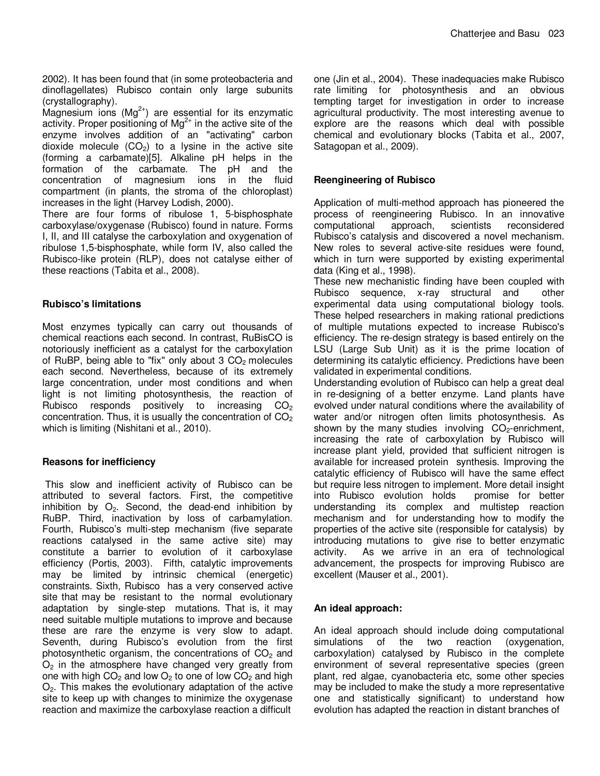2002). It has been found that (in some proteobacteria and dinoflagellates) Rubisco contain only large subunits (crystallography).

Magnesium ions  $(Mg^{2+})$  are essential for its enzymatic activity. Proper positioning of  $Mg^{2+}$  in the active site of the enzyme involves addition of an "activating" carbon dioxide molecule  $(CO<sub>2</sub>)$  to a lysine in the active site (forming a carbamate)[5]. Alkaline pH helps in the formation of the carbamate. The pH and the concentration of magnesium ions in the fluid compartment (in plants, the stroma of the chloroplast) increases in the light (Harvey Lodish, 2000).

There are four forms of ribulose 1, 5-bisphosphate carboxylase/oxygenase (Rubisco) found in nature. Forms I, II, and III catalyse the carboxylation and oxygenation of ribulose 1,5-bisphosphate, while form IV, also called the Rubisco-like protein (RLP), does not catalyse either of these reactions (Tabita et al., 2008).

#### **Rubisco's limitations**

Most enzymes typically can carry out thousands of chemical reactions each second. In contrast, RuBisCO is notoriously inefficient as a catalyst for the carboxylation of RuBP, being able to "fix" only about  $3 CO<sub>2</sub>$  molecules each second. Nevertheless, because of its extremely large concentration, under most conditions and when light is not limiting photosynthesis, the reaction of Rubisco responds positively to increasing  $CO<sub>2</sub>$ concentration. Thus, it is usually the concentration of  $CO<sub>2</sub>$ which is limiting (Nishitani et al., 2010).

# **Reasons for inefficiency**

This slow and inefficient activity of Rubisco can be attributed to several factors. First, the competitive inhibition by  $O_2$ . Second, the dead-end inhibition by RuBP. Third, inactivation by loss of carbamylation. Fourth, Rubisco's multi-step mechanism (five separate reactions catalysed in the same active site) may constitute a barrier to evolution of it carboxylase efficiency (Portis, 2003). Fifth, catalytic improvements may be limited by intrinsic chemical (energetic) constraints. Sixth, Rubisco has a very conserved active site that may be resistant to the normal evolutionary adaptation by single-step mutations. That is, it may need suitable multiple mutations to improve and because these are rare the enzyme is very slow to adapt. Seventh, during Rubisco's evolution from the first photosynthetic organism, the concentrations of  $CO<sub>2</sub>$  and  $O<sub>2</sub>$  in the atmosphere have changed very greatly from one with high  $CO<sub>2</sub>$  and low  $O<sub>2</sub>$  to one of low  $CO<sub>2</sub>$  and high  $O<sub>2</sub>$ . This makes the evolutionary adaptation of the active site to keep up with changes to minimize the oxygenase reaction and maximize the carboxylase reaction a difficult

one (Jin et al., 2004). These inadequacies make Rubisco rate limiting for photosynthesis and an obvious tempting target for investigation in order to increase agricultural productivity. The most interesting avenue to explore are the reasons which deal with possible chemical and evolutionary blocks (Tabita et al., 2007, Satagopan et al., 2009).

#### **Reengineering of Rubisco**

Application of multi-method approach has pioneered the process of reengineering Rubisco. In an innovative<br>computational approach, scientists reconsidered computational Rubisco's catalysis and discovered a novel mechanism. New roles to several active-site residues were found, which in turn were supported by existing experimental data (King et al., 1998).

These new mechanistic finding have been coupled with Rubisco sequence, x-ray structural and other experimental data using computational biology tools. These helped researchers in making rational predictions of multiple mutations expected to increase Rubisco's efficiency. The re-design strategy is based entirely on the LSU (Large Sub Unit) as it is the prime location of determining its catalytic efficiency. Predictions have been validated in experimental conditions.

Understanding evolution of Rubisco can help a great deal in re-designing of a better enzyme. Land plants have evolved under natural conditions where the availability of water and/or nitrogen often limits photosynthesis. As shown by the many studies involving  $CO<sub>2</sub>$ -enrichment, increasing the rate of carboxylation by Rubisco will increase plant yield, provided that sufficient nitrogen is available for increased protein synthesis. Improving the catalytic efficiency of Rubisco will have the same effect but require less nitrogen to implement. More detail insight<br>into Rubisco evolution holds promise for better into Rubisco evolution holds understanding its complex and multistep reaction mechanism and for understanding how to modify the properties of the active site (responsible for catalysis) by introducing mutations to give rise to better enzymatic activity. As we arrive in an era of technological advancement, the prospects for improving Rubisco are excellent (Mauser et al., 2001).

# **An ideal approach:**

An ideal approach should include doing computational<br>simulations of the two reaction (oxygenation, of the two reaction (oxygenation, carboxylation) catalysed by Rubisco in the complete environment of several representative species (green plant, red algae, cyanobacteria etc, some other species may be included to make the study a more representative one and statistically significant) to understand how evolution has adapted the reaction in distant branches of